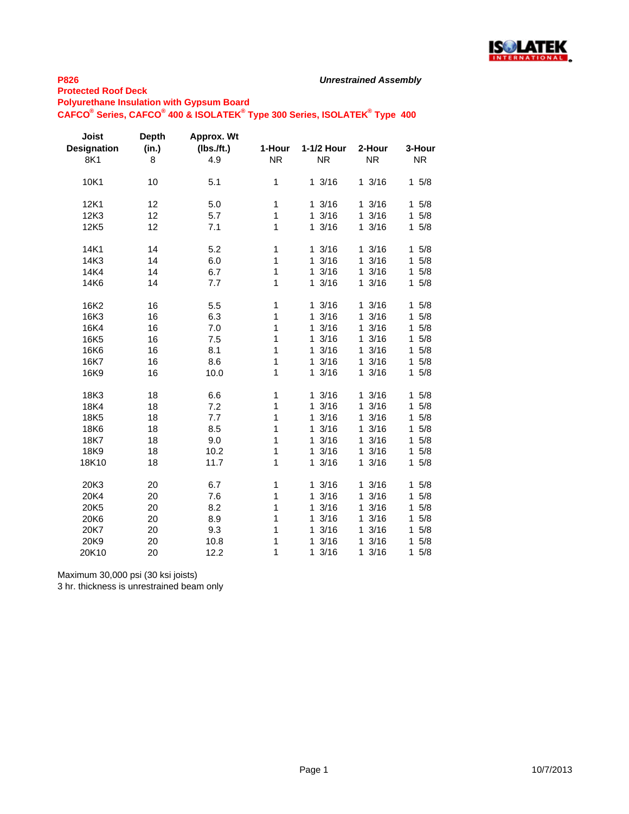

## **P826**

**Protected Roof Deck**

**Polyurethane Insulation with Gypsum Board**

**CAFCO® Series, CAFCO® 400 & ISOLATEK® Type 300 Series, ISOLATEK® Type 400**

| Joist<br><b>Designation</b><br>8K1 | <b>Depth</b><br>(in.)<br>8 | Approx. Wt<br>(Ibs.ft.)<br>4.9 | 1-Hour<br><b>NR</b> | 1-1/2 Hour<br><b>NR</b> | 2-Hour<br><b>NR</b>  | 3-Hour<br><b>NR</b> |
|------------------------------------|----------------------------|--------------------------------|---------------------|-------------------------|----------------------|---------------------|
| 10K1                               | 10                         | 5.1                            | 1                   | 13/16                   | 13/16                | 15/8                |
| 12K1                               | 12                         | 5.0                            | 1                   | 13/16                   | 13/16                | 15/8                |
| 12K3                               | 12                         | 5.7                            | 1                   | 13/16                   | 13/16                | $\mathbf{1}$<br>5/8 |
| 12K <sub>5</sub>                   | 12                         | 7.1                            | 1                   | 13/16                   | 13/16                | 15/8                |
| 14K1                               | 14                         | 5.2                            | 1                   | 13/16                   | 13/16                | 15/8                |
| 14K3                               | 14                         | 6.0                            | 1                   | 3/16<br>$\mathbf{1}$    | 13/16                | 5/8<br>1            |
| 14K4                               | 14                         | 6.7                            | 1                   | 13/16                   | 13/16                | $\mathbf{1}$<br>5/8 |
| 14K6                               | 14                         | 7.7                            | 1                   | 13/16                   | 13/16                | 15/8                |
| 16K2                               | 16                         | 5.5                            | 1                   | 13/16                   | 13/16                | 15/8                |
| 16K3                               | 16                         | 6.3                            | 1                   | 3/16<br>1               | 3/16<br>1.           | 5/8<br>$\mathbf{1}$ |
| 16K4                               | 16                         | 7.0                            | 1                   | 3/16<br>$\mathbf{1}$    | 13/16                | 5/8<br>$\mathbf{1}$ |
| 16K5                               | 16                         | 7.5                            | 1                   | 3/16<br>1               | 13/16                | 5/8<br>1            |
| 16K6                               | 16                         | 8.1                            | 1                   | 3/16<br>1               | 13/16                | 5/8<br>1            |
| 16K7                               | 16                         | 8.6                            | 1                   | 3/16<br>$\mathbf{1}$    | 13/16                | 5/8<br>1            |
| 16K9                               | 16                         | 10.0                           | 1                   | 3/16<br>$\mathbf{1}$    | 13/16                | 15/8                |
| 18K3                               | 18                         | 6.6                            | 1                   | 13/16                   | 13/16                | 5/8<br>$\mathbf{1}$ |
| 18K4                               | 18                         | 7.2                            | 1                   | 3/16<br>1               | 3/16<br>$\mathbf{1}$ | 5/8<br>1            |
| <b>18K5</b>                        | 18                         | 7.7                            | 1                   | 3/16<br>1               | 3/16<br>1            | 1<br>5/8            |
| 18K6                               | 18                         | 8.5                            | 1                   | 3/16<br>1               | 3/16<br>1            | 5/8<br>1            |
| 18K7                               | 18                         | 9.0                            | 1                   | 3/16<br>1               | 3/16<br>$\mathbf{1}$ | $\mathbf{1}$<br>5/8 |
| 18K9                               | 18                         | 10.2                           | 1                   | 3/16<br>1               | 3/16<br>$\mathbf{1}$ | 5/8<br>1            |
| 18K10                              | 18                         | 11.7                           | 1                   | 3/16<br>1               | 3/16<br>$\mathbf 1$  | $\mathbf{1}$<br>5/8 |
| 20K3                               | 20                         | 6.7                            | 1                   | 13/16                   | 13/16                | 1<br>5/8            |
| 20K4                               | 20                         | 7.6                            | 1                   | 3/16<br>1               | 3/16<br>$\mathbf{1}$ | $5/8$<br>1          |
| 20K5                               | 20                         | 8.2                            | 1                   | 3/16<br>1               | 3/16<br>$\mathbf{1}$ | $\mathbf{1}$<br>5/8 |
| 20K6                               | 20                         | 8.9                            | 1                   | 3/16<br>1               | 3/16<br>$\mathbf{1}$ | 1<br>5/8            |
| 20K7                               | 20                         | 9.3                            | 1                   | 3/16<br>1               | 3/16<br>$\mathbf{1}$ | 5/8<br>1            |
| 20K9                               | 20                         | 10.8                           | 1                   | 3/16<br>1               | 3/16<br>1            | 5/8<br>1            |
| 20K10                              | 20                         | 12.2                           | 1                   | 3/16<br>1               | 3/16<br>1            | 5/8<br>1.           |

Maximum 30,000 psi (30 ksi joists)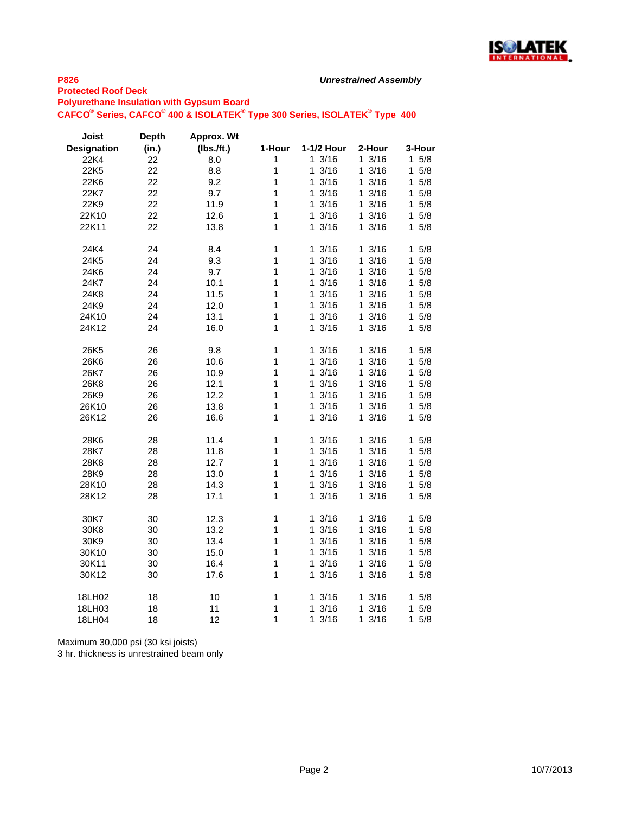

#### **P826 Protected Roof Deck**

**Polyurethane Insulation with Gypsum Board**

**CAFCO® Series, CAFCO® 400 & ISOLATEK® Type 300 Series, ISOLATEK® Type 400**

| Joist<br><b>Designation</b> | <b>Depth</b><br>(in.) | Approx. Wt<br>$(Ibs.$ /ft.) | 1-Hour | 1-1/2 Hour           | 2-Hour               | 3-Hour              |
|-----------------------------|-----------------------|-----------------------------|--------|----------------------|----------------------|---------------------|
| 22K4                        | 22                    | 8.0                         | 1      | 13/16                | 13/16                | $1 \t5/8$           |
| 22K5                        | 22                    | 8.8                         | 1      | 3/16<br>1            | 13/16                | 5/8<br>1            |
| 22K6                        | 22                    | 9.2                         | 1      | 3/16<br>1            | 13/16                | 1<br>5/8            |
| 22K7                        | 22                    | 9.7                         | 1      | 3/16<br>1            | 13/16                | 5/8<br>1            |
|                             | 22                    | 11.9                        | 1      | 3/16<br>$\mathbf 1$  | 13/16                | 5/8<br>1            |
| 22K9                        |                       |                             |        |                      |                      |                     |
| 22K10                       | 22                    | 12.6                        | 1      | 1<br>3/16            | 13/16                | $\mathbf 1$<br>5/8  |
| 22K11                       | 22                    | 13.8                        | 1      | 3/16<br>1.           | 13/16                | 5/8<br>1            |
| 24K4                        | 24                    | 8.4                         | 1      | 13/16                | 13/16                | 5/8<br>$\mathbf 1$  |
| 24K5                        | 24                    | 9.3                         | 1      | 3/16<br>1            | 13/16                | 5/8<br>1            |
| 24K6                        | 24                    | 9.7                         | 1      | 1<br>3/16            | 13/16                | 1<br>5/8            |
| 24K7                        | 24                    | 10.1                        | 1      | 13/16                | 13/16                | 5/8<br>1            |
| 24K8                        | 24                    | 11.5                        | 1      | 3/16<br>$\mathbf{1}$ | 13/16                | $5/8$<br>1.         |
| 24K9                        | 24                    | 12.0                        | 1      | 3/16<br>1            | 13/16                | 1<br>5/8            |
| 24K10                       | 24                    | 13.1                        | 1      | 13/16                | 13/16                | 5/8<br>1            |
| 24K12                       | 24                    | 16.0                        | 1      | 3/16<br>1            | 13/16                | 1.<br>5/8           |
|                             |                       |                             |        |                      |                      |                     |
| 26K <sub>5</sub>            | 26                    | 9.8                         | 1      | 13/16                | 13/16                | 15/8                |
| 26K6                        | 26                    | 10.6                        | 1      | 3/16<br>1            | 13/16                | 1<br>5/8            |
| 26K7                        | 26                    | 10.9                        | 1      | 1<br>3/16            | 13/16                | 1<br>5/8            |
| 26K8                        | 26                    | 12.1                        | 1      | 13/16                | 13/16                | 5/8<br>1.           |
| 26K9                        | 26                    | 12.2                        | 1      | 3/16<br>1            | 13/16                | 1.<br>5/8           |
| 26K10                       | 26                    | 13.8                        | 1      | 3/16<br>1            | 13/16                | 1<br>5/8            |
| 26K12                       | 26                    | 16.6                        | 1      | 13/16                | 13/16                | 5/8<br>1.           |
|                             |                       |                             |        |                      |                      |                     |
| 28K6                        | 28                    | 11.4                        | 1      | 3/16<br>1            | 13/16                | 1<br>5/8            |
| 28K7                        | 28                    | 11.8                        | 1      | 3/16<br>$\mathbf{1}$ | 13/16                | 1<br>5/8            |
| 28K8                        | 28                    | 12.7                        | 1      | 1<br>3/16            | 13/16                | $\mathbf{1}$<br>5/8 |
| 28K9                        | 28                    | 13.0                        | 1      | 3/16<br>1            | 13/16                | 1<br>5/8            |
| 28K10                       | 28                    | 14.3                        | 1      | 3/16<br>$\mathbf{1}$ | 13/16                | 1<br>5/8            |
| 28K12                       | 28                    | 17.1                        | 1      | 3/16<br>1.           | 13/16                | 15/8                |
| 30K7                        | 30                    | 12.3                        | 1      | 3/16<br>1            | 3/16<br>1            | 5/8<br>1            |
| 30K8                        | 30                    | 13.2                        | 1      | 13/16                | 13/16                | 1.<br>5/8           |
| 30K9                        | 30                    | 13.4                        | 1      | 3/16<br>1            | 13/16                | 1<br>5/8            |
| 30K10                       | 30                    | 15.0                        | 1      | 3/16<br>1            | 3/16<br>$\mathbf{1}$ | 1<br>5/8            |
| 30K11                       | 30                    | 16.4                        | 1      | 3/16<br>1            | 13/16                | 5/8<br>1            |
| 30K12                       | 30                    | 17.6                        | 1      | 3/16<br>1            | 13/16                | 5/8<br>1            |
|                             |                       |                             |        |                      |                      |                     |
| 18LH02                      | 18                    | 10                          | 1      | 13/16                | 13/16                | 1<br>5/8            |
| 18LH03                      | 18                    | 11                          | 1      | 3/16<br>1            | 3/16<br>1.           | 5/8<br>1            |
| 18LH04                      | 18                    | 12                          | 1      | 1<br>3/16            | $\mathbf{1}$<br>3/16 | 1<br>5/8            |

Maximum 30,000 psi (30 ksi joists)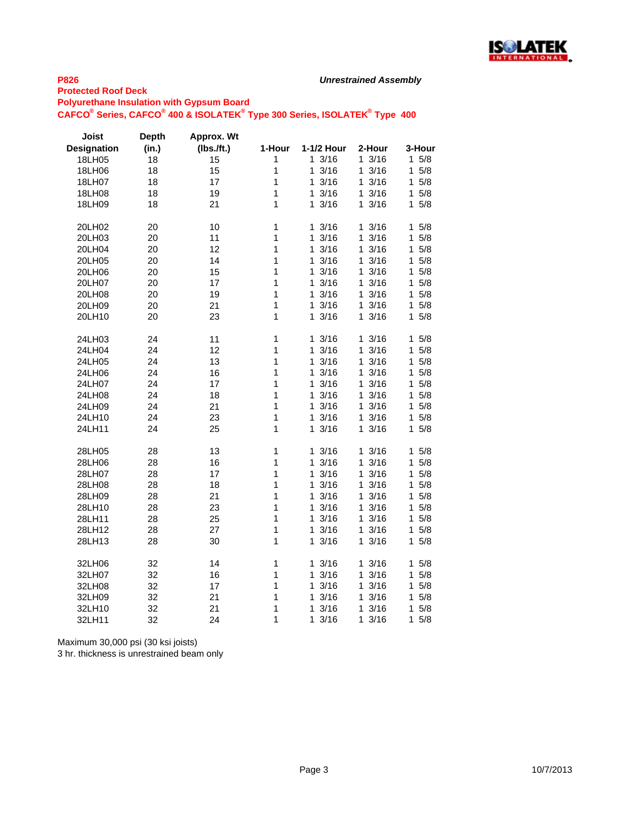

#### **P826 Protected Roof Deck**

**Polyurethane Insulation with Gypsum Board**

**CAFCO® Series, CAFCO® 400 & ISOLATEK® Type 300 Series, ISOLATEK® Type 400**

| Joist              | <b>Depth</b> | Approx. Wt    |        |                      |                      |                    |
|--------------------|--------------|---------------|--------|----------------------|----------------------|--------------------|
| <b>Designation</b> | (in.)        | $(Ibs.$ /ft.) | 1-Hour | 1-1/2 Hour           | 2-Hour               | 3-Hour             |
| 18LH05             | 18           | 15            | 1      | 13/16                | 13/16                | $1 \t5/8$          |
| 18LH06             | 18           | 15            | 1      | 3/16<br>1            | 3/16<br>1.           | 5/8<br>1           |
| 18LH07             | 18           | 17            | 1      | 13/16                | 13/16                | 5/8<br>1           |
| 18LH08             | 18           | 19            | 1      | 13/16                | 13/16                | 1<br>5/8           |
| 18LH09             | 18           | 21            | 1      | 3/16<br>1            | 13/16                | 1<br>5/8           |
| 20LH02             | 20           | 10            | 1      | 3/16<br>$\mathbf{1}$ | 13/16                | 1<br>5/8           |
| 20LH03             | 20           | 11            | 1      | 3/16<br>1            | 3/16<br>1            | 1<br>5/8           |
| 20LH04             | 20           | 12            | 1      | 13/16                | 13/16                | 5/8<br>1           |
| 20LH05             | 20           | 14            | 1      | 3/16<br>1            | 3/16<br>1            | 1<br>5/8           |
| 20LH06             | 20           | 15            | 1      | 1<br>3/16            | 3/16<br>1            | 1<br>5/8           |
| 20LH07             | 20           | 17            | 1      | 13/16                | 13/16                | 5/8<br>1           |
| 20LH08             | 20           | 19            | 1      | 3/16<br>1            | 13/16                | 5/8<br>1           |
| 20LH09             | 20           | 21            | 1      | 3/16<br>1            | 13/16                | 1<br>5/8           |
| 20LH10             | 20           | 23            | 1      | 3/16<br>1.           | 13/16                | $\mathbf 1$<br>5/8 |
| 24LH03             | 24           | 11            | 1      | 13/16                | 13/16                | 1<br>5/8           |
| 24LH04             | 24           | 12            | 1      | 3/16<br>1            | 3/16<br>1            | 1<br>5/8           |
| 24LH05             | 24           | 13            | 1      | 3/16<br>1.           | 13/16                | 1<br>5/8           |
| 24LH06             | 24           | 16            | 1      | $1 \frac{3}{16}$     | 13/16                | 1<br>5/8           |
| 24LH07             | 24           | 17            | 1      | 3/16<br>1            | 3/16<br>1.           | 1<br>5/8           |
| 24LH08             | 24           | 18            | 1      | 3/16<br>$\mathbf 1$  | 13/16                | 5/8<br>1           |
| 24LH09             | 24           | 21            | 1      | 3/16<br>1            | 3/16<br>1            | 5/8<br>1           |
| 24LH10             | 24           | 23            | 1      | 3/16<br>1            | 3/16<br>1.           | 1<br>5/8           |
| 24LH11             | 24           | 25            | 1      | 13/16                | 13/16                | 5/8<br>1           |
| 28LH05             | 28           | 13            | 1      | 1<br>3/16            | 3/16<br>1            | 1<br>5/8           |
| 28LH06             | 28           | 16            | 1      | 13/16                | 3/16<br>$\mathbf{1}$ | 5/8<br>1           |
| 28LH07             | 28           | 17            | 1      | 1<br>3/16            | 1 3/16               | 1<br>5/8           |
| 28LH08             | 28           | 18            | 1      | 1<br>3/16            | 3/16<br>1            | 1<br>5/8           |
| 28LH09             | 28           | 21            | 1      | 13/16                | 13/16                | 1<br>5/8           |
| 28LH10             | 28           | 23            | 1      | 3/16<br>1.           | 13/16                | 1<br>5/8           |
| 28LH11             | 28           | 25            | 1      | 3/16<br>1            | 3/16<br>1            | 5/8<br>1           |
| 28LH12             | 28           | 27            | 1      | 13/16                | 13/16                | 5/8<br>1           |
| 28LH13             | 28           | 30            | 1      | 3/16<br>1            | 13/16                | 5/8<br>1.          |
| 32LH06             | 32           | 14            | 1      | 3/16<br>$\mathbf{1}$ | 13/16                | 5/8<br>1           |
| 32LH07             | 32           | 16            | 1      | 3/16<br>$\mathbf 1$  | 13/16                | 1<br>5/8           |
| 32LH08             | 32           | 17            | 1      | 3/16<br>1            | 3/16<br>1.           | 5/8<br>1           |
| 32LH09             | 32           | 21            | 1      | 3/16<br>1            | 3/16<br>1            | 5/8<br>1           |
| 32LH10             | 32           | 21            | 1      | 3/16<br>1            | 3/16<br>1            | 1<br>5/8           |
| 32LH11             | 32           | 24            | 1      | 3/16<br>1            | 3/16<br>1            | 1<br>5/8           |

Maximum 30,000 psi (30 ksi joists)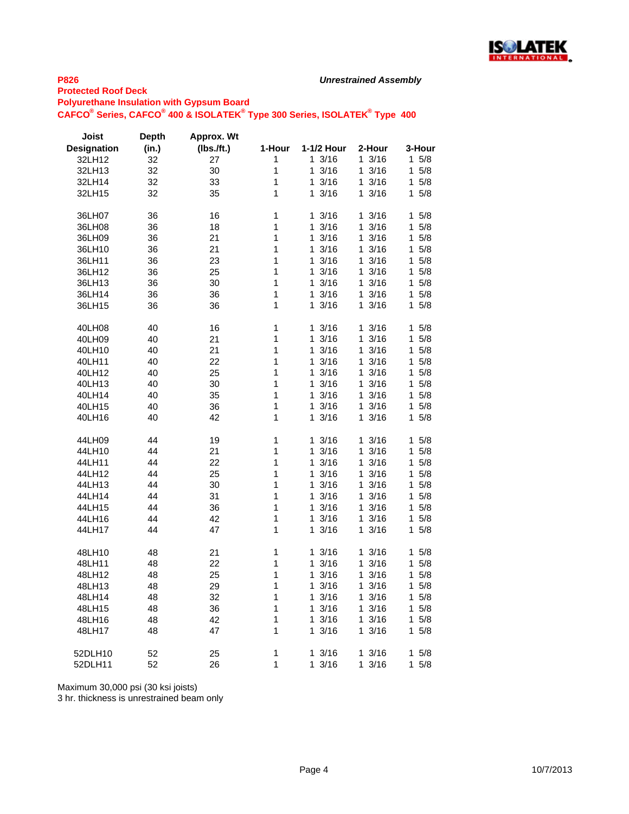

# **P826**

**Protected Roof Deck**

**Polyurethane Insulation with Gypsum Board CAFCO® Series, CAFCO® 400 & ISOLATEK® Type 300 Series, ISOLATEK® Type 400**

| Joist              | <b>Depth</b> | <b>Approx. Wt</b> |        |            |           |            |
|--------------------|--------------|-------------------|--------|------------|-----------|------------|
| <b>Designation</b> | (in.)        | $(Ibs.$ /ft.)     | 1-Hour | 1-1/2 Hour | 2-Hour    | 3-Hour     |
| 32LH12             | 32           | 27                | 1      | 13/16      | 13/16     | $1 \t5/8$  |
| 32LH13             | 32           | 30                | 1      | 1<br>3/16  | 13/16     | 15/8       |
| 32LH14             | 32           | 33                | 1      | 3/16<br>1  | 13/16     | 5/8<br>1   |
| 32LH15             | 32           | 35                | 1      | 3/16<br>1  | 13/16     | 15/8       |
|                    |              |                   |        |            |           |            |
| 36LH07             | 36           | 16                | 1      | 13/16      | 13/16     | 15/8       |
| 36LH08             | 36           | 18                | 1      | 3/16<br>1  | 3/16<br>1 | 5/8<br>1   |
| 36LH09             | 36           | 21                | 1      | 3/16<br>1  | 3/16<br>1 | 5/8<br>1   |
| 36LH10             | 36           | 21                | 1      | 3/16<br>1  | 3/16<br>1 | 5/8<br>1   |
| 36LH11             | 36           | 23                | 1      | 3/16<br>1  | 3/16<br>1 | 5/8<br>1   |
| 36LH12             | 36           | 25                | 1      | 1<br>3/16  | 3/16<br>1 | 1<br>5/8   |
| 36LH13             | 36           | 30                | 1      | 1<br>3/16  | 3/16<br>1 | 1<br>5/8   |
| 36LH14             | 36           | 36                | 1      | 3/16<br>1  | 13/16     | 5/8<br>1   |
| 36LH15             | 36           | 36                | 1      | 3/16<br>1  | 13/16     | 5/8<br>1   |
|                    |              |                   |        |            |           |            |
| 40LH08             | 40           | 16                | 1      | 3/16<br>1  | 3/16<br>1 | 1<br>5/8   |
| 40LH09             | 40           | 21                | 1      | 3/16<br>1  | 3/16<br>1 | 1<br>5/8   |
| 40LH10             | 40           | 21                | 1      | 3/16<br>1  | 3/16<br>1 | 5/8<br>1   |
| 40LH11             | 40           | 22                | 1      | 3/16<br>1  | 3/16<br>1 | 5/8<br>1   |
| 40LH12             | 40           | 25                | 1      | 3/16<br>1  | 3/16<br>1 | 5/8<br>1   |
| 40LH13             | 40           | 30                | 1      | 3/16<br>1  | 3/16<br>1 | 5/8<br>1   |
|                    | 40           |                   |        |            |           |            |
| 40LH14             |              | 35                | 1      | 3/16<br>1  | 3/16<br>1 | 5/8<br>1   |
| 40LH15             | 40           | 36                | 1      | 3/16<br>1  | 3/16<br>1 | 1<br>5/8   |
| 40LH16             | 40           | 42                | 1      | 3/16<br>1  | 13/16     | $5/8$<br>1 |
| 44LH09             | 44           | 19                | 1      | 1<br>3/16  | 1<br>3/16 | 1<br>5/8   |
| 44LH10             | 44           | 21                | 1      | 1<br>3/16  | 3/16<br>1 | 1<br>5/8   |
| 44LH11             | 44           | 22                | 1      | 3/16<br>1  | 3/16<br>1 | 5/8<br>1   |
| 44LH12             | 44           | 25                | 1      | 3/16<br>1  | 3/16<br>1 | 5/8<br>1   |
| 44LH13             | 44           | 30                | 1      | 3/16<br>1  | 3/16<br>1 | 5/8<br>1   |
| 44LH14             | 44           | 31                | 1      | 1<br>3/16  | 3/16<br>1 | 5/8<br>1   |
| 44LH15             | 44           | 36                | 1      | 3/16<br>1  | 3/16<br>1 | 5/8<br>1   |
|                    | 44           |                   | 1      | 1<br>3/16  | 3/16<br>1 | 5/8<br>1   |
| 44LH16             |              | 42                | 1      | 1          |           |            |
| 44LH17             | 44           | 47                |        | 3/16       | 13/16     | 15/8       |
| 48LH10             | 48           | 21                | 1      | 3/16<br>1  | 13/16     | 15/8       |
| 48LH11             | 48           | 22                | 1      | 3/16<br>1  | 3/16<br>1 | 5/8<br>1   |
| 48LH12             | 48           | 25                | 1      | 3/16<br>1  | 3/16<br>1 | 1<br>5/8   |
| 48LH13             | 48           | 29                | 1      | 3/16<br>1  | 3/16<br>1 | 1<br>5/8   |
| 48LH14             | 48           | 32                | 1      | 1<br>3/16  | 1<br>3/16 | 1<br>5/8   |
| 48LH15             | 48           | 36                | 1      | 3/16<br>1  | 3/16<br>1 | 1<br>5/8   |
| 48LH16             | 48           | 42                | 1      | 1<br>3/16  | 3/16<br>1 | 1<br>5/8   |
| 48LH17             | 48           | 47                | 1      | 3/16<br>1  | 13/16     | $1 \t5/8$  |
|                    |              |                   |        |            |           |            |
| 52DLH10            | 52           | 25                | 1      | 3/16<br>1  | 3/16<br>1 | 5/8<br>1   |
| 52DLH11            | 52           | 26                | 1      | 1<br>3/16  | 3/16<br>1 | 5/8<br>1   |
|                    |              |                   |        |            |           |            |

Maximum 30,000 psi (30 ksi joists)